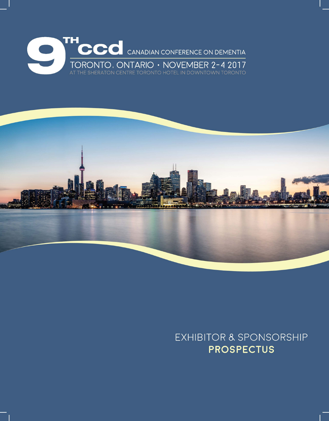



# **EXHIBITOR & SPONSORSHIP PROSPECTUS**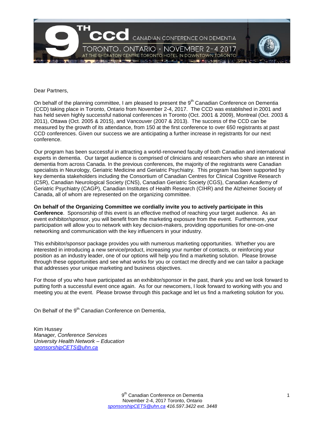

Dear Partners,

On behalf of the planning committee, I am pleased to present the  $9<sup>th</sup>$  Canadian Conference on Dementia (CCD) taking place in Toronto, Ontario from November 2-4, 2017. The CCD was established in 2001 and has held seven highly successful national conferences in Toronto (Oct. 2001 & 2009), Montreal (Oct. 2003 & 2011), Ottawa (Oct. 2005 & 2015), and Vancouver (2007 & 2013). The success of the CCD can be measured by the growth of its attendance, from 150 at the first conference to over 650 registrants at past CCD conferences. Given our success we are anticipating a further increase in registrants for our next conference.

Our program has been successful in attracting a world-renowned faculty of both Canadian and international experts in dementia. Our target audience is comprised of clinicians and researchers who share an interest in dementia from across Canada. In the previous conferences, the majority of the registrants were Canadian specialists in Neurology, Geriatric Medicine and Geriatric Psychiatry. This program has been supported by key dementia stakeholders including the Consortium of Canadian Centres for Clinical Cognitive Research (C5R), Canadian Neurological Society (CNS), Canadian Geriatric Society (CGS), Canadian Academy of Geriatric Psychiatry (CAGP), Canadian Institutes of Health Research (CIHR) and the Alzheimer Society of Canada, all of whom are represented on the organizing committee.

**On behalf of the Organizing Committee we cordially invite you to actively participate in this Conference**. Sponsorship of this event is an effective method of reaching your target audience. As an event exhibitor/sponsor, you will benefit from the marketing exposure from the event. Furthermore, your participation will allow you to network with key decision-makers, providing opportunities for one-on-one networking and communication with the key influencers in your industry.

This exhibitor/sponsor package provides you with numerous marketing opportunities. Whether you are interested in introducing a new service/product, increasing your number of contacts, or reinforcing your position as an industry leader, one of our options will help you find a marketing solution. Please browse through these opportunities and see what works for you or contact me directly and we can tailor a package that addresses your unique marketing and business objectives.

For those of you who have participated as an exhibitor/sponsor in the past, thank you and we look forward to putting forth a successful event once again. As for our newcomers, I look forward to working with you and meeting you at the event. Please browse through this package and let us find a marketing solution for you.

On Behalf of the 9<sup>th</sup> Canadian Conference on Dementia,

Kim Hussey *[Manager, Conference Servic](mailto:sponsorshipCETS@uhn.ca)es University Health Network – Education sponsorshipCETS@uhn.ca*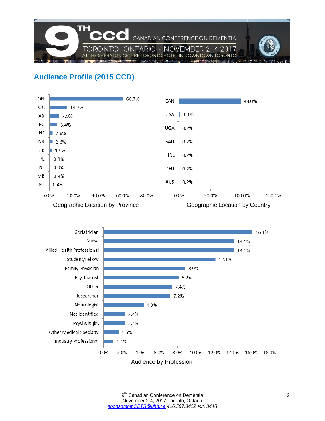

# **Audience Profile (2015 CCD)**



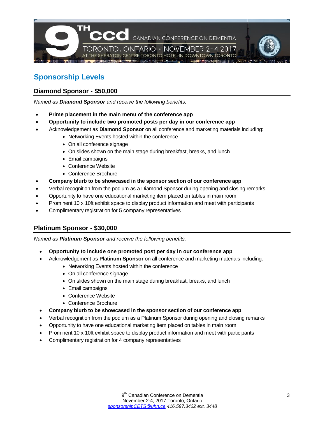

## **Sponsorship Levels**

#### **Diamond Sponsor - \$50,000**

*Named as Diamond Sponsor and receive the following benefits:* 

- **Prime placement in the main menu of the conference app**
- **Opportunity to include two promoted posts per day in our conference app**
- Acknowledgement as **Diamond Sponsor** on all conference and marketing materials including:
	- Networking Events hosted within the conference
	- On all conference signage
	- On slides shown on the main stage during breakfast, breaks, and lunch
	- Email campaigns
	- Conference Website
	- Conference Brochure
- **Company blurb to be showcased in the sponsor section of our conference app**
- Verbal recognition from the podium as a Diamond Sponsor during opening and closing remarks
- Opportunity to have one educational marketing item placed on tables in main room
- Prominent 10 x 10ft exhibit space to display product information and meet with participants
- Complimentary registration for 5 company representatives

#### **Platinum Sponsor - \$30,000**

*Named as Platinum Sponsor and receive the following benefits:* 

- **Opportunity to include one promoted post per day in our conference app**
- Acknowledgement as **Platinum Sponsor** on all conference and marketing materials including:
	- Networking Events hosted within the conference
	- On all conference signage
	- On slides shown on the main stage during breakfast, breaks, and lunch
	- Email campaigns
	- Conference Website
	- Conference Brochure
- **Company blurb to be showcased in the sponsor section of our conference app**
- Verbal recognition from the podium as a Platinum Sponsor during opening and closing remarks
- Opportunity to have one educational marketing item placed on tables in main room
- Prominent 10 x 10ft exhibit space to display product information and meet with participants
- Complimentary registration for 4 company representatives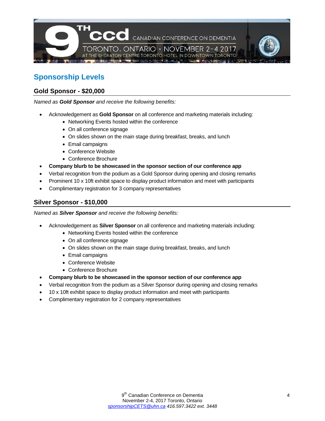

### **Sponsorship Levels**

### **Gold Sponsor - \$20,000**

*Named as Gold Sponsor and receive the following benefits:* 

- Acknowledgement as **Gold Sponsor** on all conference and marketing materials including:
	- Networking Events hosted within the conference
	- On all conference signage
	- On slides shown on the main stage during breakfast, breaks, and lunch
	- Email campaigns
	- Conference Website
	- Conference Brochure
- **Company blurb to be showcased in the sponsor section of our conference app**
- Verbal recognition from the podium as a Gold Sponsor during opening and closing remarks
- Prominent 10 x 10ft exhibit space to display product information and meet with participants
- Complimentary registration for 3 company representatives

#### **Silver Sponsor - \$10,000**

*Named as Silver Sponsor and receive the following benefits:* 

- Acknowledgement as **Silver Sponsor** on all conference and marketing materials including:
	- Networking Events hosted within the conference
	- On all conference signage
	- On slides shown on the main stage during breakfast, breaks, and lunch
	- Email campaigns
	- Conference Website
	- Conference Brochure
- **Company blurb to be showcased in the sponsor section of our conference app**
- Verbal recognition from the podium as a Silver Sponsor during opening and closing remarks
- 10 x 10ft exhibit space to display product information and meet with participants
- Complimentary registration for 2 company representatives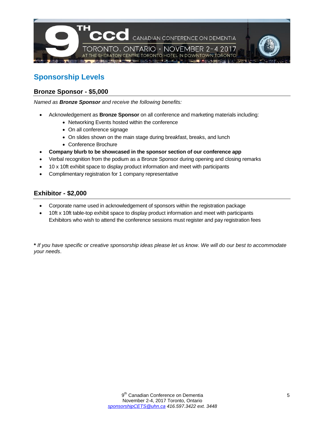

## **Sponsorship Levels**

### **Bronze Sponsor - \$5,000**

*Named as Bronze Sponsor and receive the following benefits:* 

- Acknowledgement as **Bronze Sponsor** on all conference and marketing materials including:
	- Networking Events hosted within the conference
	- On all conference signage
	- On slides shown on the main stage during breakfast, breaks, and lunch
	- Conference Brochure
- **Company blurb to be showcased in the sponsor section of our conference app**
- Verbal recognition from the podium as a Bronze Sponsor during opening and closing remarks
- 10 x 10ft exhibit space to display product information and meet with participants
- Complimentary registration for 1 company representative

### **Exhibitor - \$2,000**

- Corporate name used in acknowledgement of sponsors within the registration package
- 10ft x 10ft table-top exhibit space to display product information and meet with participants Exhibitors who wish to attend the conference sessions must register and pay registration fees

**\*** *If you have specific or creative sponsorship ideas please let us know. We will do our best to accommodate your needs*.